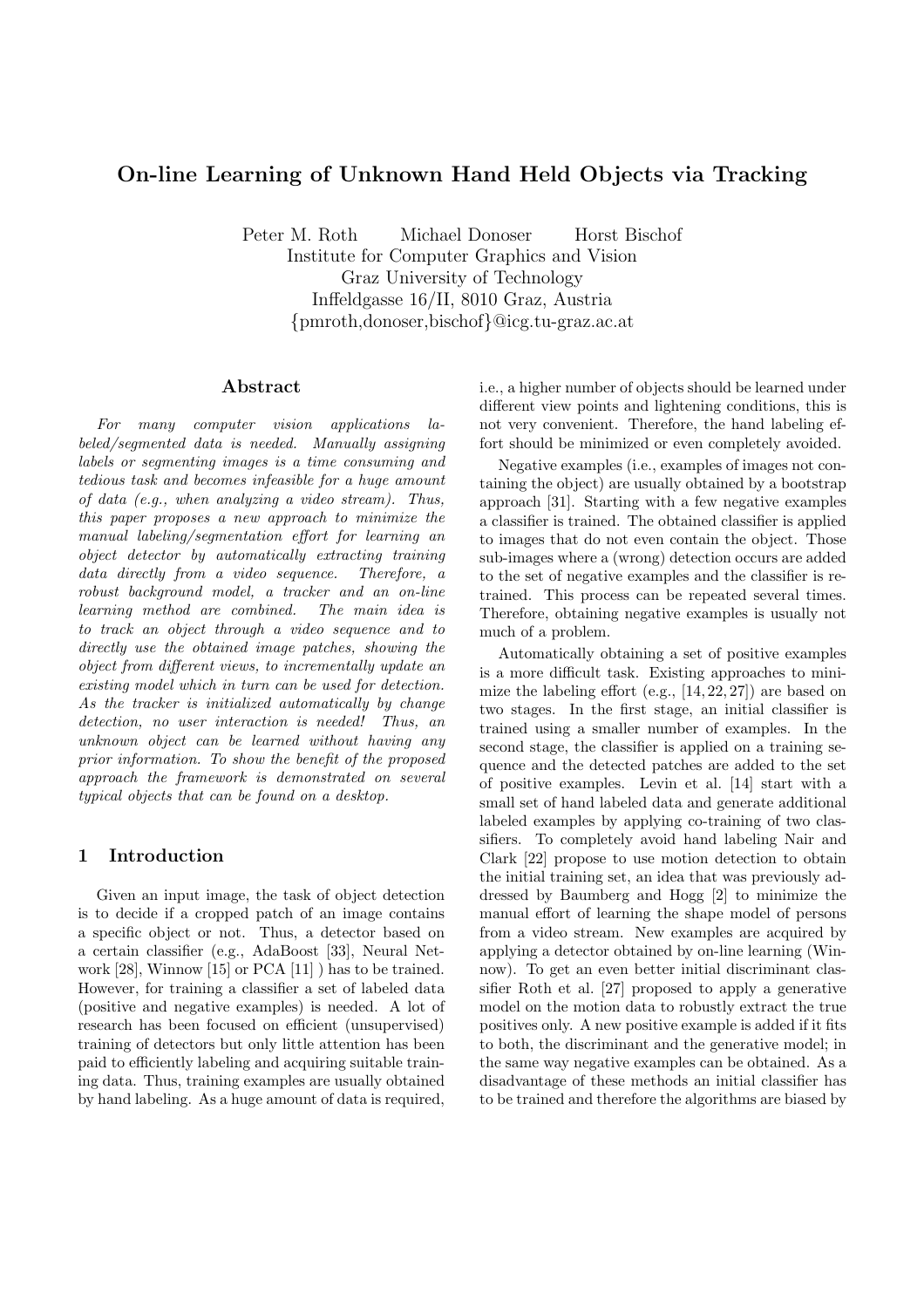# On-line Learning of Unknown Hand Held Objects via Tracking

Peter M. Roth Michael Donoser Horst Bischof Institute for Computer Graphics and Vision Graz University of Technology Inffeldgasse 16/II, 8010 Graz, Austria {pmroth,donoser,bischof}@icg.tu-graz.ac.at

# Abstract

For many computer vision applications labeled/segmented data is needed. Manually assigning labels or segmenting images is a time consuming and tedious task and becomes infeasible for a huge amount of data (e.g., when analyzing a video stream). Thus, this paper proposes a new approach to minimize the manual labeling/segmentation effort for learning an object detector by automatically extracting training data directly from a video sequence. Therefore, a robust background model, a tracker and an on-line learning method are combined. The main idea is to track an object through a video sequence and to directly use the obtained image patches, showing the object from different views, to incrementally update an existing model which in turn can be used for detection. As the tracker is initialized automatically by change detection, no user interaction is needed! Thus, an unknown object can be learned without having any prior information. To show the benefit of the proposed approach the framework is demonstrated on several typical objects that can be found on a desktop.

#### 1 Introduction

Given an input image, the task of object detection is to decide if a cropped patch of an image contains a specific object or not. Thus, a detector based on a certain classifier (e.g., AdaBoost [33], Neural Network [28], Winnow [15] or PCA [11] ) has to be trained. However, for training a classifier a set of labeled data (positive and negative examples) is needed. A lot of research has been focused on efficient (unsupervised) training of detectors but only little attention has been paid to efficiently labeling and acquiring suitable training data. Thus, training examples are usually obtained by hand labeling. As a huge amount of data is required,

i.e., a higher number of objects should be learned under different view points and lightening conditions, this is not very convenient. Therefore, the hand labeling effort should be minimized or even completely avoided.

Negative examples (i.e., examples of images not containing the object) are usually obtained by a bootstrap approach [31]. Starting with a few negative examples a classifier is trained. The obtained classifier is applied to images that do not even contain the object. Those sub-images where a (wrong) detection occurs are added to the set of negative examples and the classifier is retrained. This process can be repeated several times. Therefore, obtaining negative examples is usually not much of a problem.

Automatically obtaining a set of positive examples is a more difficult task. Existing approaches to minimize the labeling effort  $(e.g., [14, 22, 27])$  are based on two stages. In the first stage, an initial classifier is trained using a smaller number of examples. In the second stage, the classifier is applied on a training sequence and the detected patches are added to the set of positive examples. Levin et al. [14] start with a small set of hand labeled data and generate additional labeled examples by applying co-training of two classifiers. To completely avoid hand labeling Nair and Clark [22] propose to use motion detection to obtain the initial training set, an idea that was previously addressed by Baumberg and Hogg [2] to minimize the manual effort of learning the shape model of persons from a video stream. New examples are acquired by applying a detector obtained by on-line learning (Winnow). To get an even better initial discriminant classifier Roth et al. [27] proposed to apply a generative model on the motion data to robustly extract the true positives only. A new positive example is added if it fits to both, the discriminant and the generative model; in the same way negative examples can be obtained. As a disadvantage of these methods an initial classifier has to be trained and therefore the algorithms are biased by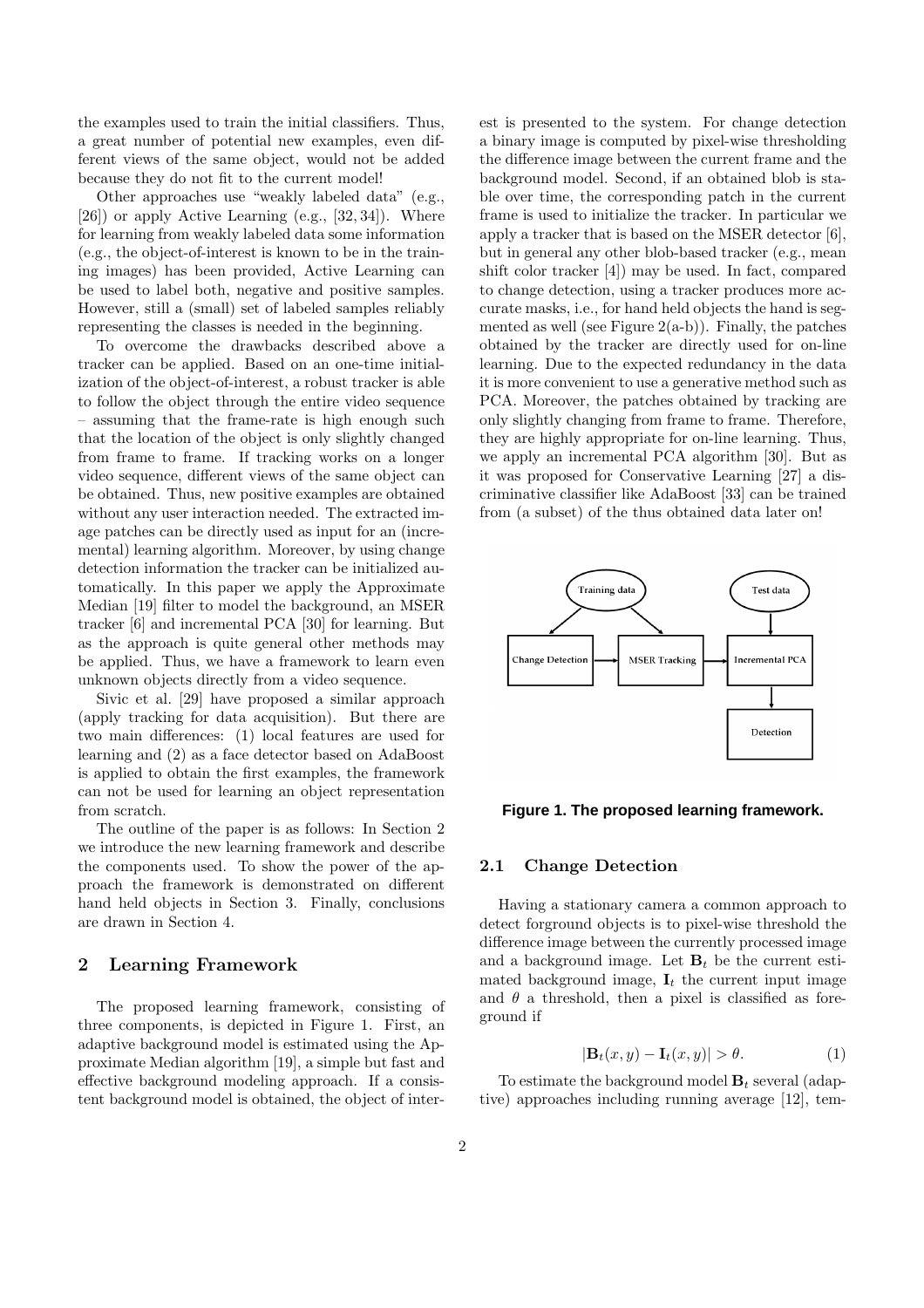the examples used to train the initial classifiers. Thus, a great number of potential new examples, even different views of the same object, would not be added because they do not fit to the current model!

Other approaches use "weakly labeled data" (e.g.,  $[26]$ ) or apply Active Learning (e.g.,  $[32, 34]$ ). Where for learning from weakly labeled data some information (e.g., the object-of-interest is known to be in the training images) has been provided, Active Learning can be used to label both, negative and positive samples. However, still a (small) set of labeled samples reliably representing the classes is needed in the beginning.

To overcome the drawbacks described above a tracker can be applied. Based on an one-time initialization of the object-of-interest, a robust tracker is able to follow the object through the entire video sequence – assuming that the frame-rate is high enough such that the location of the object is only slightly changed from frame to frame. If tracking works on a longer video sequence, different views of the same object can be obtained. Thus, new positive examples are obtained without any user interaction needed. The extracted image patches can be directly used as input for an (incremental) learning algorithm. Moreover, by using change detection information the tracker can be initialized automatically. In this paper we apply the Approximate Median [19] filter to model the background, an MSER tracker [6] and incremental PCA [30] for learning. But as the approach is quite general other methods may be applied. Thus, we have a framework to learn even unknown objects directly from a video sequence.

Sivic et al. [29] have proposed a similar approach (apply tracking for data acquisition). But there are two main differences: (1) local features are used for learning and (2) as a face detector based on AdaBoost is applied to obtain the first examples, the framework can not be used for learning an object representation from scratch.

The outline of the paper is as follows: In Section 2 we introduce the new learning framework and describe the components used. To show the power of the approach the framework is demonstrated on different hand held objects in Section 3. Finally, conclusions are drawn in Section 4.

#### 2 Learning Framework

The proposed learning framework, consisting of three components, is depicted in Figure 1. First, an adaptive background model is estimated using the Approximate Median algorithm [19], a simple but fast and effective background modeling approach. If a consistent background model is obtained, the object of interest is presented to the system. For change detection a binary image is computed by pixel-wise thresholding the difference image between the current frame and the background model. Second, if an obtained blob is stable over time, the corresponding patch in the current frame is used to initialize the tracker. In particular we apply a tracker that is based on the MSER detector [6], but in general any other blob-based tracker (e.g., mean shift color tracker [4]) may be used. In fact, compared to change detection, using a tracker produces more accurate masks, i.e., for hand held objects the hand is segmented as well (see Figure  $2(a-b)$ ). Finally, the patches obtained by the tracker are directly used for on-line learning. Due to the expected redundancy in the data it is more convenient to use a generative method such as PCA. Moreover, the patches obtained by tracking are only slightly changing from frame to frame. Therefore, they are highly appropriate for on-line learning. Thus, we apply an incremental PCA algorithm [30]. But as it was proposed for Conservative Learning [27] a discriminative classifier like AdaBoost [33] can be trained from (a subset) of the thus obtained data later on!



#### **Figure 1. The proposed learning framework.**

#### 2.1 Change Detection

Having a stationary camera a common approach to detect forground objects is to pixel-wise threshold the difference image between the currently processed image and a background image. Let  $B_t$  be the current estimated background image,  $I_t$  the current input image and  $\theta$  a threshold, then a pixel is classified as foreground if

$$
|\mathbf{B}_t(x,y) - \mathbf{I}_t(x,y)| > \theta. \tag{1}
$$

To estimate the background model  $B_t$  several (adaptive) approaches including running average [12], tem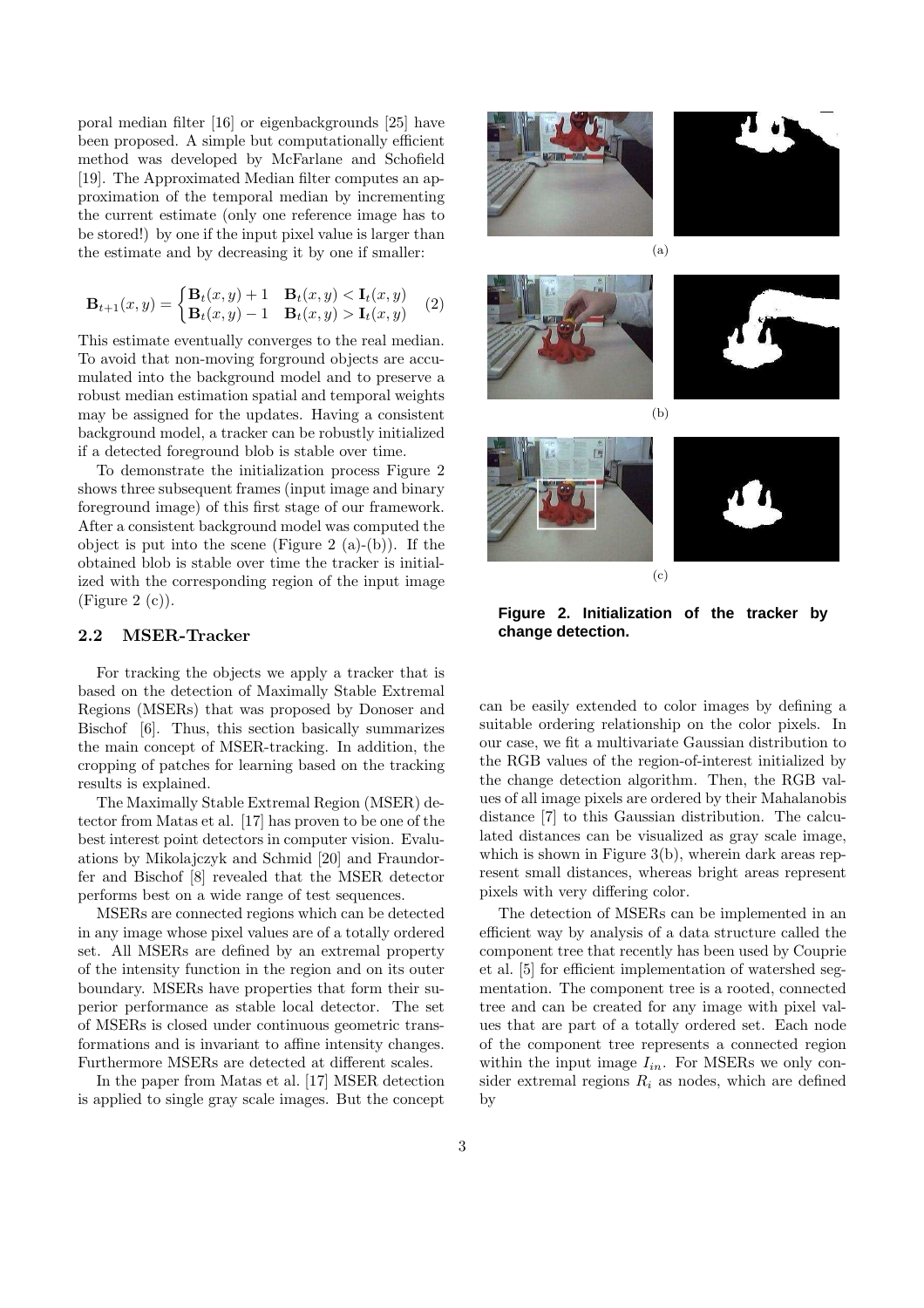poral median filter [16] or eigenbackgrounds [25] have been proposed. A simple but computationally efficient method was developed by McFarlane and Schofield [19]. The Approximated Median filter computes an approximation of the temporal median by incrementing the current estimate (only one reference image has to be stored!) by one if the input pixel value is larger than the estimate and by decreasing it by one if smaller:

$$
\mathbf{B}_{t+1}(x,y) = \begin{cases} \mathbf{B}_t(x,y) + 1 & \mathbf{B}_t(x,y) < \mathbf{I}_t(x,y) \\ \mathbf{B}_t(x,y) - 1 & \mathbf{B}_t(x,y) > \mathbf{I}_t(x,y) \end{cases} (2)
$$

This estimate eventually converges to the real median. To avoid that non-moving forground objects are accumulated into the background model and to preserve a robust median estimation spatial and temporal weights may be assigned for the updates. Having a consistent background model, a tracker can be robustly initialized if a detected foreground blob is stable over time.

To demonstrate the initialization process Figure 2 shows three subsequent frames (input image and binary foreground image) of this first stage of our framework. After a consistent background model was computed the object is put into the scene (Figure 2  $(a)-(b)$ ). If the obtained blob is stable over time the tracker is initialized with the corresponding region of the input image (Figure 2 $(c)$ ).

### 2.2 MSER-Tracker

For tracking the objects we apply a tracker that is based on the detection of Maximally Stable Extremal Regions (MSERs) that was proposed by Donoser and Bischof [6]. Thus, this section basically summarizes the main concept of MSER-tracking. In addition, the cropping of patches for learning based on the tracking results is explained.

The Maximally Stable Extremal Region (MSER) detector from Matas et al. [17] has proven to be one of the best interest point detectors in computer vision. Evaluations by Mikolajczyk and Schmid [20] and Fraundorfer and Bischof [8] revealed that the MSER detector performs best on a wide range of test sequences.

MSERs are connected regions which can be detected in any image whose pixel values are of a totally ordered set. All MSERs are defined by an extremal property of the intensity function in the region and on its outer boundary. MSERs have properties that form their superior performance as stable local detector. The set of MSERs is closed under continuous geometric transformations and is invariant to affine intensity changes. Furthermore MSERs are detected at different scales.

In the paper from Matas et al. [17] MSER detection is applied to single gray scale images. But the concept





(c)

**Figure 2. Initialization of the tracker by change detection.**

can be easily extended to color images by defining a suitable ordering relationship on the color pixels. In our case, we fit a multivariate Gaussian distribution to the RGB values of the region-of-interest initialized by the change detection algorithm. Then, the RGB values of all image pixels are ordered by their Mahalanobis distance [7] to this Gaussian distribution. The calculated distances can be visualized as gray scale image, which is shown in Figure 3(b), wherein dark areas represent small distances, whereas bright areas represent pixels with very differing color.

The detection of MSERs can be implemented in an efficient way by analysis of a data structure called the component tree that recently has been used by Couprie et al. [5] for efficient implementation of watershed segmentation. The component tree is a rooted, connected tree and can be created for any image with pixel values that are part of a totally ordered set. Each node of the component tree represents a connected region within the input image  $I_{in}$ . For MSERs we only consider extremal regions  $R_i$  as nodes, which are defined by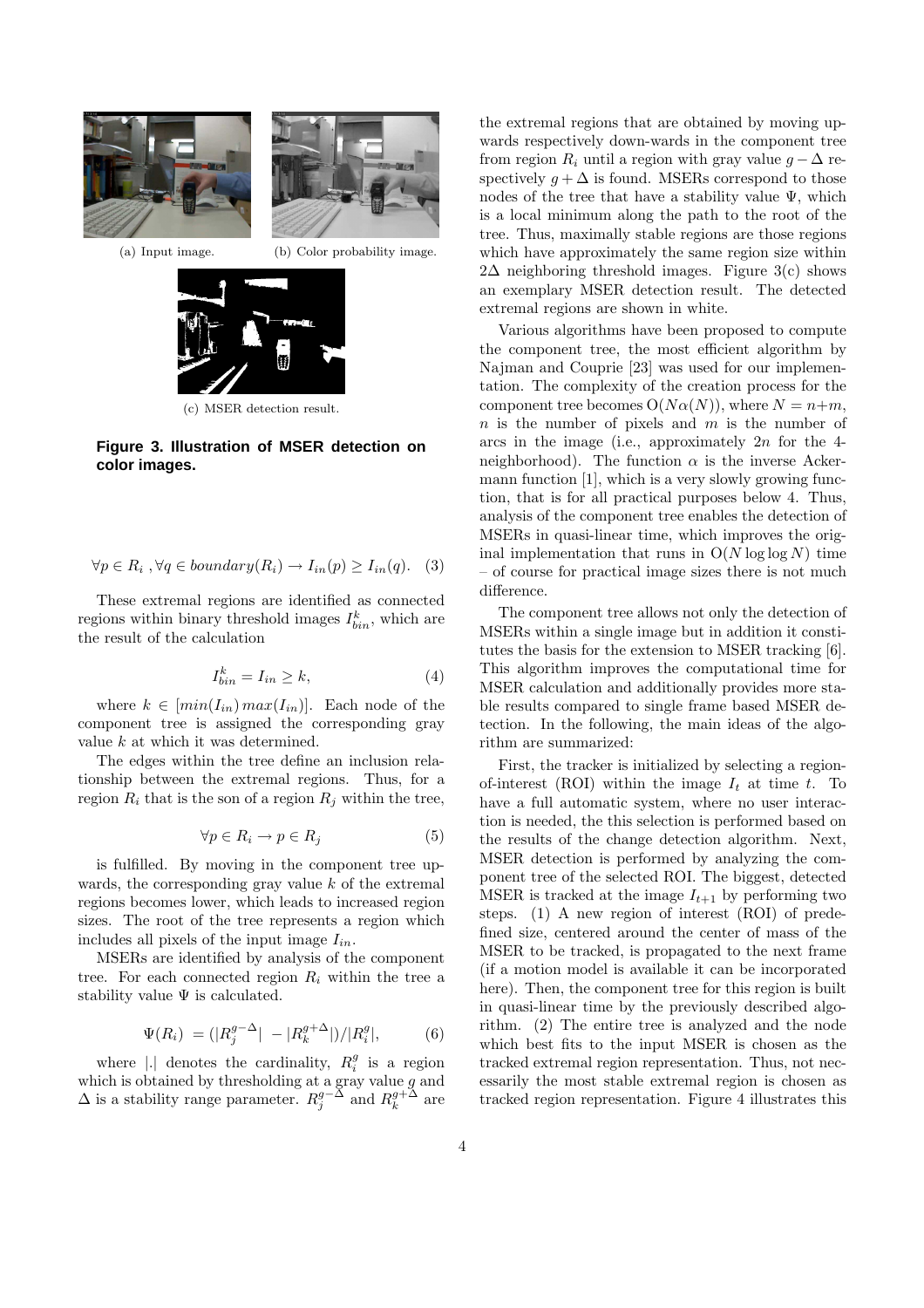

(a) Input image. (b) Color probability image.



(c) MSER detection result.

**Figure 3. Illustration of MSER detection on color images.**

$$
\forall p \in R_i, \forall q \in boundary(R_i) \rightarrow I_{in}(p) \ge I_{in}(q). \quad (3)
$$

These extremal regions are identified as connected regions within binary threshold images  $I_{bin}^k$ , which are the result of the calculation

$$
I_{bin}^k = I_{in} \ge k,\tag{4}
$$

where  $k \in [min(I_{in}) max(I_{in})]$ . Each node of the component tree is assigned the corresponding gray value k at which it was determined.

The edges within the tree define an inclusion relationship between the extremal regions. Thus, for a region  $R_i$  that is the son of a region  $R_j$  within the tree,

$$
\forall p \in R_i \to p \in R_j \tag{5}
$$

is fulfilled. By moving in the component tree upwards, the corresponding gray value  $k$  of the extremal regions becomes lower, which leads to increased region sizes. The root of the tree represents a region which includes all pixels of the input image  $I_{in}$ .

MSERs are identified by analysis of the component tree. For each connected region  $R_i$  within the tree a stability value  $\Psi$  is calculated.

$$
\Psi(R_i) = (|R_j^{g-\Delta}| - |R_k^{g+\Delta}|)/|R_i^g|,
$$
\n(6)

where |.| denotes the cardinality,  $R_i^g$  is a region which is obtained by thresholding at a gray value  $g$  and  $\Delta$  is a stability range parameter.  $R_j^{g-\Delta}$  and  $R_k^{g+\Delta}$  are the extremal regions that are obtained by moving upwards respectively down-wards in the component tree from region  $R_i$  until a region with gray value  $g - \Delta$  respectively  $q + \Delta$  is found. MSERs correspond to those nodes of the tree that have a stability value  $\Psi$ , which is a local minimum along the path to the root of the tree. Thus, maximally stable regions are those regions which have approximately the same region size within  $2\Delta$  neighboring threshold images. Figure 3(c) shows an exemplary MSER detection result. The detected extremal regions are shown in white.

Various algorithms have been proposed to compute the component tree, the most efficient algorithm by Najman and Couprie [23] was used for our implementation. The complexity of the creation process for the component tree becomes  $O(N\alpha(N))$ , where  $N = n+m$ ,  $n$  is the number of pixels and  $m$  is the number of arcs in the image (i.e., approximately  $2n$  for the 4neighborhood). The function  $\alpha$  is the inverse Ackermann function [1], which is a very slowly growing function, that is for all practical purposes below 4. Thus, analysis of the component tree enables the detection of MSERs in quasi-linear time, which improves the original implementation that runs in  $O(N \log \log N)$  time – of course for practical image sizes there is not much difference.

The component tree allows not only the detection of MSERs within a single image but in addition it constitutes the basis for the extension to MSER tracking [6]. This algorithm improves the computational time for MSER calculation and additionally provides more stable results compared to single frame based MSER detection. In the following, the main ideas of the algorithm are summarized:

First, the tracker is initialized by selecting a regionof-interest (ROI) within the image  $I_t$  at time t. To have a full automatic system, where no user interaction is needed, the this selection is performed based on the results of the change detection algorithm. Next, MSER detection is performed by analyzing the component tree of the selected ROI. The biggest, detected MSER is tracked at the image  $I_{t+1}$  by performing two steps. (1) A new region of interest (ROI) of predefined size, centered around the center of mass of the MSER to be tracked, is propagated to the next frame (if a motion model is available it can be incorporated here). Then, the component tree for this region is built in quasi-linear time by the previously described algorithm. (2) The entire tree is analyzed and the node which best fits to the input MSER is chosen as the tracked extremal region representation. Thus, not necessarily the most stable extremal region is chosen as tracked region representation. Figure 4 illustrates this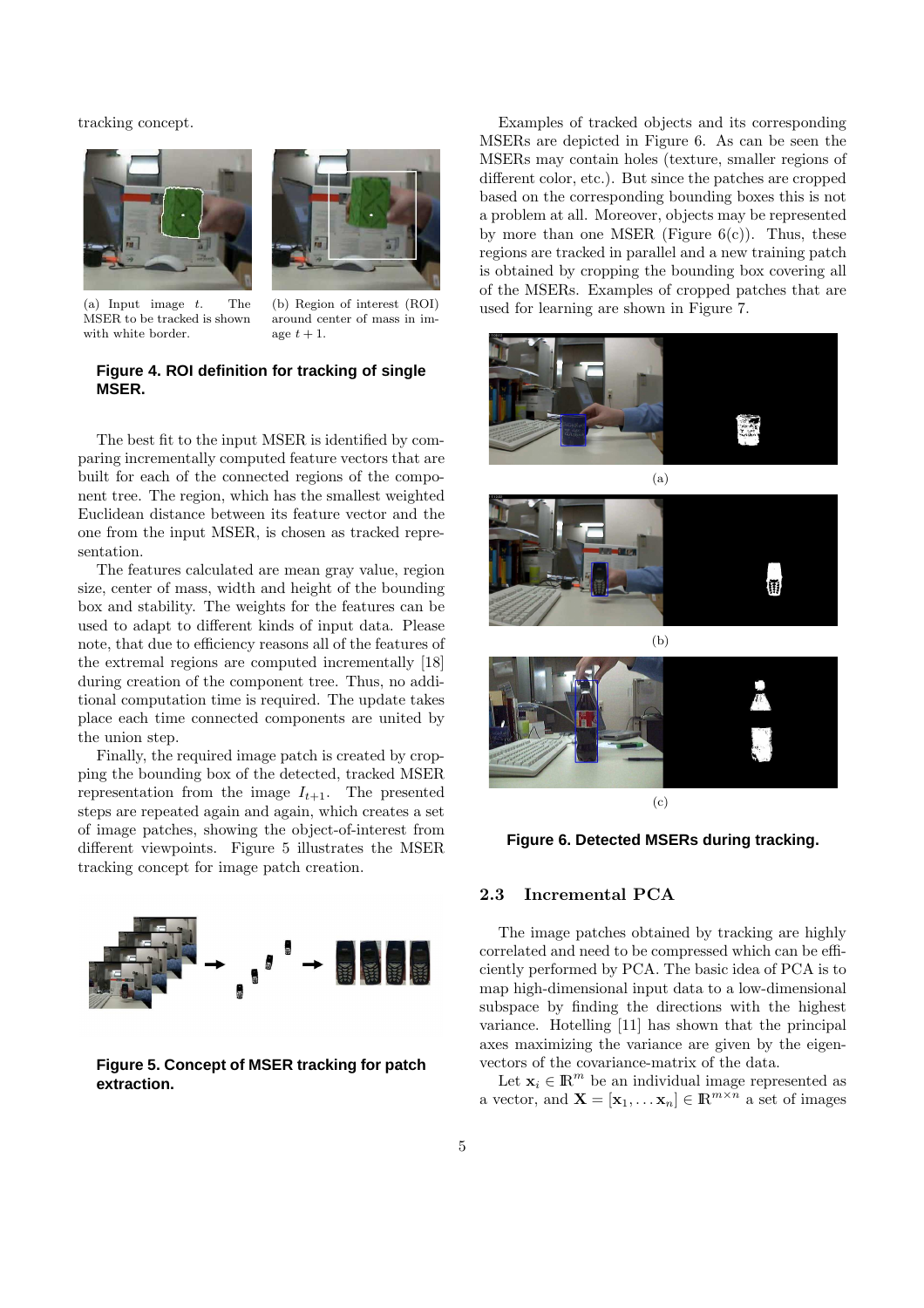tracking concept.





(a) Input image t. The MSER to be tracked is shown with white border.

(b) Region of interest (ROI) around center of mass in image  $t + 1$ .

### **Figure 4. ROI definition for tracking of single MSER.**

The best fit to the input MSER is identified by comparing incrementally computed feature vectors that are built for each of the connected regions of the component tree. The region, which has the smallest weighted Euclidean distance between its feature vector and the one from the input MSER, is chosen as tracked representation.

The features calculated are mean gray value, region size, center of mass, width and height of the bounding box and stability. The weights for the features can be used to adapt to different kinds of input data. Please note, that due to efficiency reasons all of the features of the extremal regions are computed incrementally [18] during creation of the component tree. Thus, no additional computation time is required. The update takes place each time connected components are united by the union step.

Finally, the required image patch is created by cropping the bounding box of the detected, tracked MSER representation from the image  $I_{t+1}$ . The presented steps are repeated again and again, which creates a set of image patches, showing the object-of-interest from different viewpoints. Figure 5 illustrates the MSER tracking concept for image patch creation.



**Figure 5. Concept of MSER tracking for patch extraction.**

Examples of tracked objects and its corresponding MSERs are depicted in Figure 6. As can be seen the MSERs may contain holes (texture, smaller regions of different color, etc.). But since the patches are cropped based on the corresponding bounding boxes this is not a problem at all. Moreover, objects may be represented by more than one MSER (Figure  $6(c)$ ). Thus, these regions are tracked in parallel and a new training patch is obtained by cropping the bounding box covering all of the MSERs. Examples of cropped patches that are used for learning are shown in Figure 7.







**Figure 6. Detected MSERs during tracking.**

# 2.3 Incremental PCA

The image patches obtained by tracking are highly correlated and need to be compressed which can be efficiently performed by PCA. The basic idea of PCA is to map high-dimensional input data to a low-dimensional subspace by finding the directions with the highest variance. Hotelling [11] has shown that the principal axes maximizing the variance are given by the eigenvectors of the covariance-matrix of the data.

Let  $\mathbf{x}_i \in \mathbb{R}^m$  be an individual image represented as a vector, and  $\mathbf{X} = [\mathbf{x}_1, \dots \mathbf{x}_n] \in \mathbb{R}^{m \times n}$  a set of images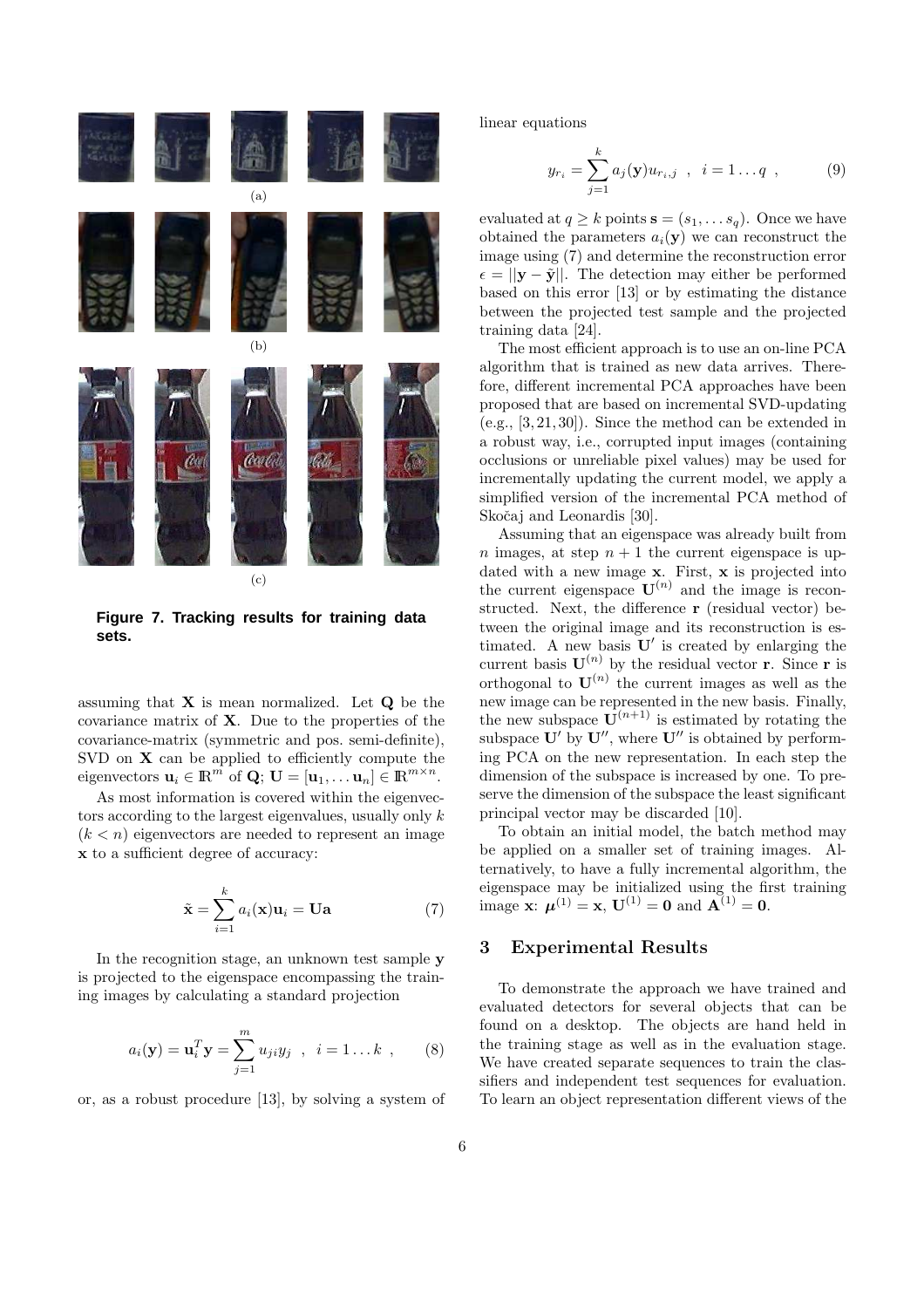

**Figure 7. Tracking results for training data sets.**

assuming that  $X$  is mean normalized. Let  $Q$  be the covariance matrix of  $X$ . Due to the properties of the covariance-matrix (symmetric and pos. semi-definite), SVD on  $X$  can be applied to efficiently compute the eigenvectors  $\mathbf{u}_i \in \mathbb{R}^m$  of  $\mathbf{Q}$ ;  $\mathbf{U} = [\mathbf{u}_1, \dots \mathbf{u}_n] \in \mathbb{R}^{m \times n}$ .

As most information is covered within the eigenvectors according to the largest eigenvalues, usually only k  $(k < n)$  eigenvectors are needed to represent an image x to a sufficient degree of accuracy:

$$
\tilde{\mathbf{x}} = \sum_{i=1}^{k} a_i(\mathbf{x}) \mathbf{u}_i = \mathbf{U} \mathbf{a}
$$
 (7)

In the recognition stage, an unknown test sample y is projected to the eigenspace encompassing the training images by calculating a standard projection

$$
a_i(\mathbf{y}) = \mathbf{u}_i^T \mathbf{y} = \sum_{j=1}^m u_{ji} y_j
$$
,  $i = 1...k$ , (8)

or, as a robust procedure [13], by solving a system of

linear equations

$$
y_{r_i} = \sum_{j=1}^{k} a_j(\mathbf{y}) u_{r_i, j} \quad , \quad i = 1 \dots q \quad , \tag{9}
$$

evaluated at  $q \ge k$  points  $\mathbf{s} = (s_1, \dots s_q)$ . Once we have obtained the parameters  $a_i(\mathbf{y})$  we can reconstruct the image using (7) and determine the reconstruction error  $\epsilon = ||\mathbf{v} - \tilde{\mathbf{v}}||$ . The detection may either be performed based on this error [13] or by estimating the distance between the projected test sample and the projected training data [24].

The most efficient approach is to use an on-line PCA algorithm that is trained as new data arrives. Therefore, different incremental PCA approaches have been proposed that are based on incremental SVD-updating (e.g., [3, 21, 30]). Since the method can be extended in a robust way, i.e., corrupted input images (containing occlusions or unreliable pixel values) may be used for incrementally updating the current model, we apply a simplified version of the incremental PCA method of Skočaj and Leonardis [30].

Assuming that an eigenspace was already built from n images, at step  $n + 1$  the current eigenspace is updated with a new image  $x$ . First,  $x$  is projected into the current eigenspace  $\mathbf{U}^{(n)}$  and the image is reconstructed. Next, the difference r (residual vector) between the original image and its reconstruction is estimated. A new basis  $\mathbf{U}'$  is created by enlarging the current basis  $\mathbf{U}^{(n)}$  by the residual vector **r**. Since **r** is orthogonal to  $\mathbf{U}^{(n)}$  the current images as well as the new image can be represented in the new basis. Finally, the new subspace  $\mathbf{U}^{(n+1)}$  is estimated by rotating the subspace  $\mathbf{U}'$  by  $\mathbf{U}''$ , where  $\mathbf{U}''$  is obtained by performing PCA on the new representation. In each step the dimension of the subspace is increased by one. To preserve the dimension of the subspace the least significant principal vector may be discarded [10].

To obtain an initial model, the batch method may be applied on a smaller set of training images. Alternatively, to have a fully incremental algorithm, the eigenspace may be initialized using the first training image **x**:  $\mu^{(1)} = \mathbf{x}, \mathbf{U}^{(1)} = \mathbf{0}$  and  $\mathbf{A}^{(1)} = \mathbf{0}$ .

### 3 Experimental Results

To demonstrate the approach we have trained and evaluated detectors for several objects that can be found on a desktop. The objects are hand held in the training stage as well as in the evaluation stage. We have created separate sequences to train the classifiers and independent test sequences for evaluation. To learn an object representation different views of the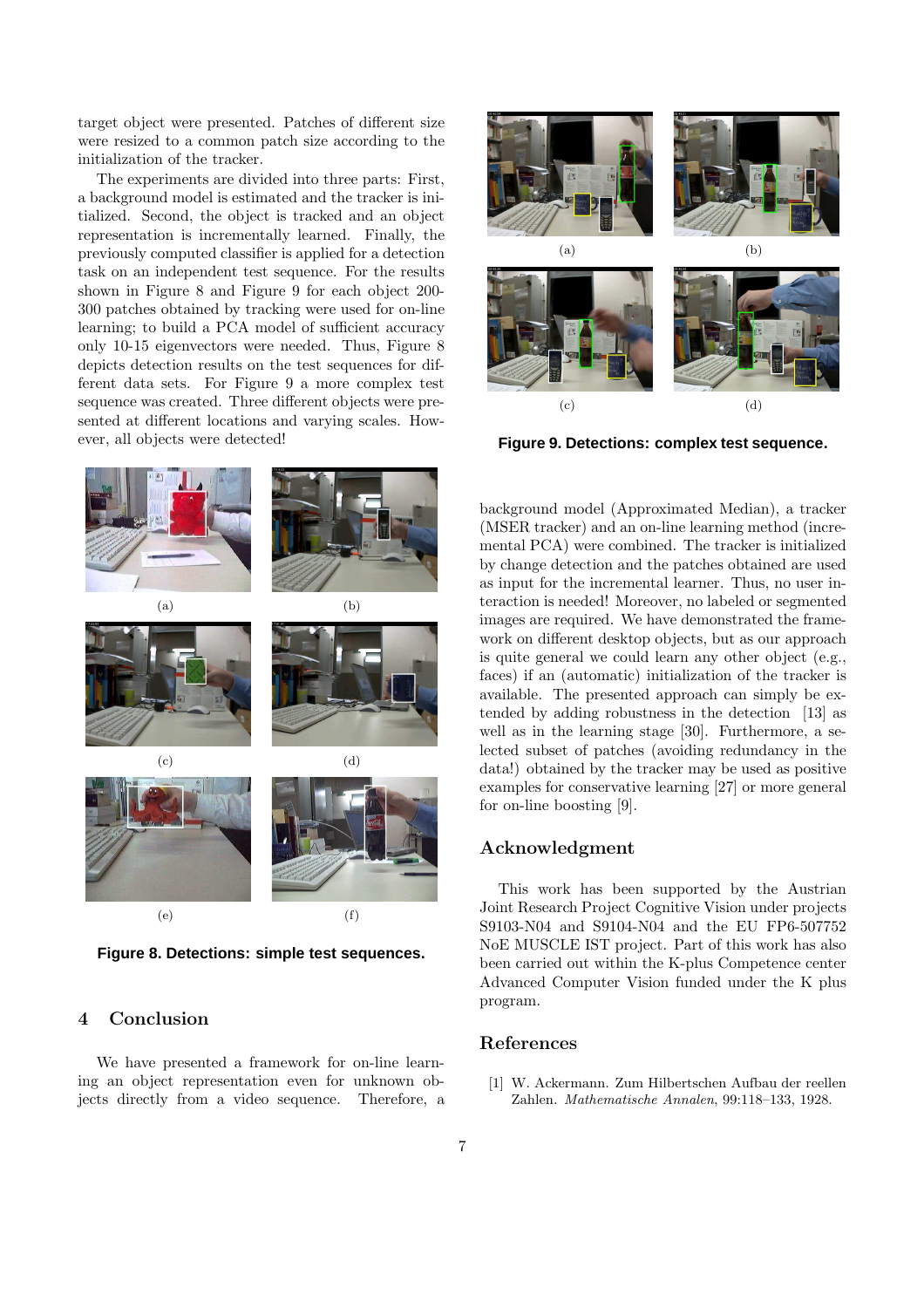target object were presented. Patches of different size were resized to a common patch size according to the initialization of the tracker.

The experiments are divided into three parts: First, a background model is estimated and the tracker is initialized. Second, the object is tracked and an object representation is incrementally learned. Finally, the previously computed classifier is applied for a detection task on an independent test sequence. For the results shown in Figure 8 and Figure 9 for each object 200- 300 patches obtained by tracking were used for on-line learning; to build a PCA model of sufficient accuracy only 10-15 eigenvectors were needed. Thus, Figure 8 depicts detection results on the test sequences for different data sets. For Figure 9 a more complex test sequence was created. Three different objects were presented at different locations and varying scales. However, all objects were detected!



**Figure 8. Detections: simple test sequences.**

# 4 Conclusion

We have presented a framework for on-line learning an object representation even for unknown objects directly from a video sequence. Therefore, a



**Figure 9. Detections: complex test sequence.**

background model (Approximated Median), a tracker (MSER tracker) and an on-line learning method (incremental PCA) were combined. The tracker is initialized by change detection and the patches obtained are used as input for the incremental learner. Thus, no user interaction is needed! Moreover, no labeled or segmented images are required. We have demonstrated the framework on different desktop objects, but as our approach is quite general we could learn any other object (e.g., faces) if an (automatic) initialization of the tracker is available. The presented approach can simply be extended by adding robustness in the detection [13] as well as in the learning stage [30]. Furthermore, a selected subset of patches (avoiding redundancy in the data!) obtained by the tracker may be used as positive examples for conservative learning [27] or more general for on-line boosting [9].

### Acknowledgment

This work has been supported by the Austrian Joint Research Project Cognitive Vision under projects S9103-N04 and S9104-N04 and the EU FP6-507752 NoE MUSCLE IST project. Part of this work has also been carried out within the K-plus Competence center Advanced Computer Vision funded under the K plus program.

# References

[1] W. Ackermann. Zum Hilbertschen Aufbau der reellen Zahlen. Mathematische Annalen, 99:118–133, 1928.